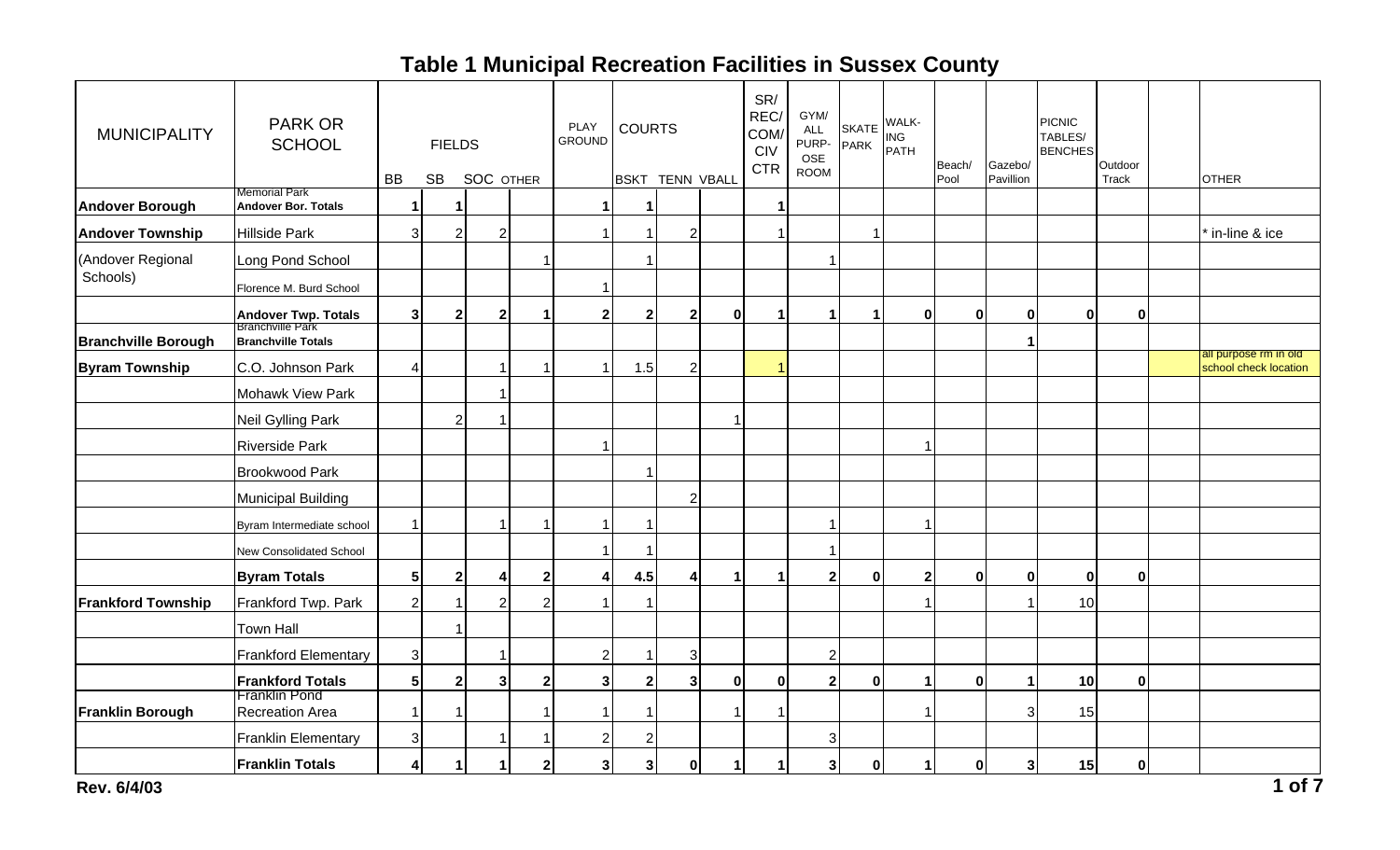| <b>MUNICIPALITY</b>        | <b>PARK OR</b><br><b>SCHOOL</b>                    | <b>BB</b>      | <b>FIELDS</b><br><b>SB</b> | <b>SOC OTHER</b> |                | PLAY<br><b>GROUND</b> | <b>COURTS</b>           | <b>BSKT TENN VBALL</b> |   | SR/<br>REC/<br>COM/<br><b>CIV</b><br><b>CTR</b> | GYM/<br><b>ALL</b><br>PURP- PARK<br>OSE<br><b>ROOM</b> |                | SKATE WALK-<br>PARK PATH | Beach/<br>Pool | Gazebo/<br>Pavillion | <b>PICNIC</b><br>TABLES/<br><b>BENCHES</b> | Outdoor<br>Track | <b>OTHER</b>                                   |
|----------------------------|----------------------------------------------------|----------------|----------------------------|------------------|----------------|-----------------------|-------------------------|------------------------|---|-------------------------------------------------|--------------------------------------------------------|----------------|--------------------------|----------------|----------------------|--------------------------------------------|------------------|------------------------------------------------|
| <b>Andover Borough</b>     | <b>Memorial Park</b><br><b>Andover Bor. Totals</b> | $\mathbf 1$    | -1                         |                  |                |                       | 1                       |                        |   |                                                 |                                                        |                |                          |                |                      |                                            |                  |                                                |
| <b>Andover Township</b>    | <b>Hillside Park</b>                               | $\overline{3}$ | $\overline{2}$             | $\overline{2}$   |                |                       | -1                      | $\overline{2}$         |   |                                                 |                                                        | $\overline{1}$ |                          |                |                      |                                            |                  | in-line & ice                                  |
| (Andover Regional          | Long Pond School                                   |                |                            |                  |                |                       | 1                       |                        |   |                                                 |                                                        |                |                          |                |                      |                                            |                  |                                                |
| Schools)                   | Florence M. Burd School                            |                |                            |                  |                |                       |                         |                        |   |                                                 |                                                        |                |                          |                |                      |                                            |                  |                                                |
|                            | <b>Andover Twp. Totals</b><br>Branchville Park     | 3 <sup>1</sup> | $\mathbf{2}$               | 2                |                | 2 <sub>1</sub>        | $\mathbf{2}$            | $\overline{2}$         | 0 |                                                 | 1                                                      | 1              | 0                        | 0              | 0                    | $\mathbf{0}$                               | $\mathbf{0}$     |                                                |
| <b>Branchville Borough</b> | <b>Branchville Totals</b>                          |                |                            |                  |                |                       |                         |                        |   |                                                 |                                                        |                |                          |                |                      |                                            |                  |                                                |
| <b>Byram Township</b>      | C.O. Johnson Park                                  | $\vert$        |                            |                  |                |                       | 1.5                     | $\sqrt{2}$             |   |                                                 |                                                        |                |                          |                |                      |                                            |                  | all purpose rm in old<br>school check location |
|                            | Mohawk View Park                                   |                |                            |                  |                |                       |                         |                        |   |                                                 |                                                        |                |                          |                |                      |                                            |                  |                                                |
|                            | <b>Neil Gylling Park</b>                           |                | $\overline{2}$             |                  |                |                       |                         |                        |   |                                                 |                                                        |                |                          |                |                      |                                            |                  |                                                |
|                            | <b>Riverside Park</b>                              |                |                            |                  |                |                       |                         |                        |   |                                                 |                                                        |                | -1                       |                |                      |                                            |                  |                                                |
|                            | <b>Brookwood Park</b>                              |                |                            |                  |                |                       |                         |                        |   |                                                 |                                                        |                |                          |                |                      |                                            |                  |                                                |
|                            | <b>Municipal Building</b>                          |                |                            |                  |                |                       |                         | $\overline{2}$         |   |                                                 |                                                        |                |                          |                |                      |                                            |                  |                                                |
|                            | Byram Intermediate school                          | 1              |                            |                  |                |                       | -1                      |                        |   |                                                 |                                                        |                |                          |                |                      |                                            |                  |                                                |
|                            | New Consolidated School                            |                |                            |                  |                |                       | -1                      |                        |   |                                                 | 1                                                      |                |                          |                |                      |                                            |                  |                                                |
|                            | <b>Byram Totals</b>                                | 5 <sup>1</sup> | $\mathbf{2}$               | 4                | 2 <sub>1</sub> | 41                    | 4.5                     | 4                      |   |                                                 | $\mathbf{2}$                                           | 0              | $\mathbf{2}$             | $\mathbf{0}$   | $\mathbf{0}$         | $\mathbf{0}$                               | $\mathbf{0}$     |                                                |
| <b>Frankford Township</b>  | Frankford Twp. Park                                | $\mathbf{2}$   |                            |                  | $\overline{2}$ |                       |                         |                        |   |                                                 |                                                        |                |                          |                |                      | 10                                         |                  |                                                |
|                            | <b>Town Hall</b>                                   |                |                            |                  |                |                       |                         |                        |   |                                                 |                                                        |                |                          |                |                      |                                            |                  |                                                |
|                            | <b>Frankford Elementary</b>                        | 3              |                            |                  |                | $\overline{2}$        |                         | 3                      |   |                                                 | $\overline{2}$                                         |                |                          |                |                      |                                            |                  |                                                |
|                            | <b>Frankford Totals</b>                            | 5 <sup>1</sup> | $\overline{\mathbf{2}}$    | $\mathbf{3}$     | 2 <sub>1</sub> | 3 <sup>1</sup>        | $\overline{\mathbf{2}}$ | $\mathbf{3}$           | 0 | 0                                               | $\overline{2}$                                         | $\mathbf{0}$   | -1                       | $\bf{0}$       |                      | 10                                         | $\mathbf{0}$     |                                                |
| <b>Franklin Borough</b>    | <b>Franklin Pond</b><br><b>Recreation Area</b>     | $\mathbf{1}$   |                            |                  |                |                       | 1                       |                        |   |                                                 |                                                        |                |                          |                | 3                    | 15                                         |                  |                                                |
|                            | <b>Franklin Elementary</b>                         | $\overline{3}$ |                            |                  |                | $\overline{2}$        | $\overline{2}$          |                        |   |                                                 | 3                                                      |                |                          |                |                      |                                            |                  |                                                |
|                            | <b>Franklin Totals</b>                             | $\vert$        | -1                         |                  | $\mathbf{2}$   | 3                     | 3                       | $\mathbf 0$            |   |                                                 | $\mathbf{3}$                                           | $\mathbf 0$    | 1                        | $\bf{0}$       | 3                    | 15                                         | 0                |                                                |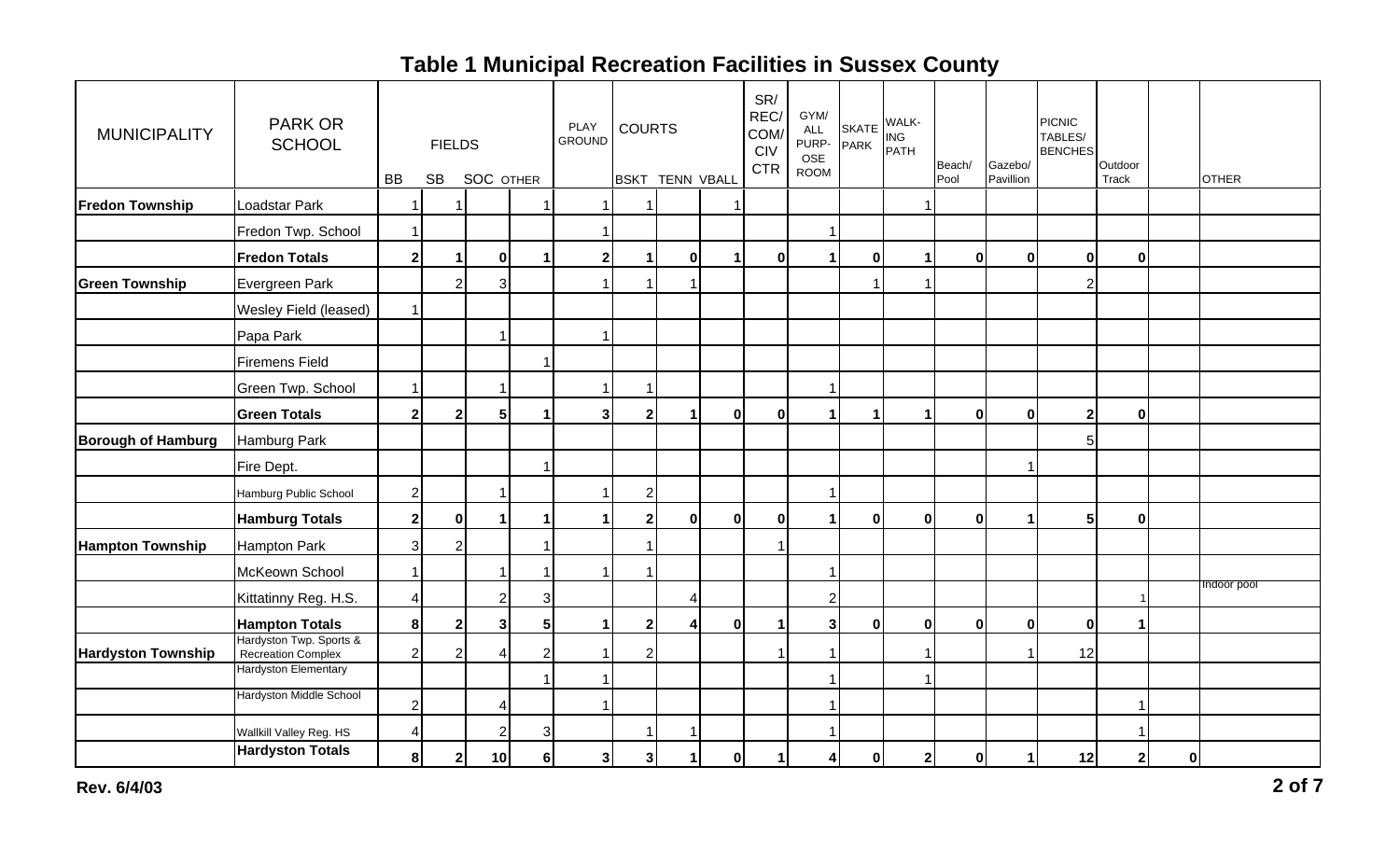| <b>MUNICIPALITY</b>       | <b>PARK OR</b><br><b>SCHOOL</b>               |                | <b>FIELDS</b>           |                  |                      | PLAY<br><b>GROUND</b> | <b>COURTS</b>           |                   |              | SR/<br>REC/<br>COM/<br>CIV<br><b>CTR</b> | GYM/<br>ALL<br>PURP- PARK<br>OSE<br><b>ROOM</b> |                      | SKATE WALK-<br>PARK PATH | Beach/       | Gazebo/              | <b>PICNIC</b><br>TABLES/<br><b>BENCHES</b> | Outdoor      |          |              |
|---------------------------|-----------------------------------------------|----------------|-------------------------|------------------|----------------------|-----------------------|-------------------------|-------------------|--------------|------------------------------------------|-------------------------------------------------|----------------------|--------------------------|--------------|----------------------|--------------------------------------------|--------------|----------|--------------|
|                           |                                               | BB             | <b>SB</b>               | <b>SOC OTHER</b> |                      |                       | <b>BSKT</b>             | <b>TENN VBALL</b> |              |                                          |                                                 |                      |                          | Pool         | Pavillion            |                                            | Track        |          | <b>OTHER</b> |
| <b>Fredon Township</b>    | Loadstar Park                                 | 1              |                         |                  |                      |                       |                         |                   |              |                                          |                                                 |                      |                          |              |                      |                                            |              |          |              |
|                           | Fredon Twp. School                            | $\mathbf{1}$   |                         |                  |                      |                       |                         |                   |              |                                          | $\mathbf{1}$                                    |                      |                          |              |                      |                                            |              |          |              |
|                           | <b>Fredon Totals</b>                          | $2\vert$       | $\mathbf{1}$            | $\mathbf{0}$     | $\blacktriangleleft$ | $\mathbf{2}$          | $\mathbf 1$             | $\mathbf 0$       |              | 0                                        | 1                                               | 0                    |                          | $\mathbf{0}$ | 0                    | $\mathbf{0}$                               | 0            |          |              |
| <b>Green Township</b>     | Evergreen Park                                |                | $\overline{2}$          | 3                |                      |                       | 1                       |                   |              |                                          |                                                 |                      |                          |              |                      | 2                                          |              |          |              |
|                           | Wesley Field (leased)                         | $\mathbf{1}$   |                         |                  |                      |                       |                         |                   |              |                                          |                                                 |                      |                          |              |                      |                                            |              |          |              |
|                           | Papa Park                                     |                |                         |                  |                      |                       |                         |                   |              |                                          |                                                 |                      |                          |              |                      |                                            |              |          |              |
|                           | <b>Firemens Field</b>                         |                |                         |                  |                      |                       |                         |                   |              |                                          |                                                 |                      |                          |              |                      |                                            |              |          |              |
|                           | Green Twp. School                             | $\overline{1}$ |                         |                  |                      |                       | 1                       |                   |              |                                          | 1                                               |                      |                          |              |                      |                                            |              |          |              |
|                           | <b>Green Totals</b>                           | $2\vert$       | $\overline{\mathbf{2}}$ | 5                | -1                   | 3                     | $\overline{\mathbf{2}}$ |                   | $\mathbf{0}$ | 0                                        | $\mathbf{1}$                                    | $\blacktriangleleft$ |                          | $\mathbf{0}$ | $\mathbf{0}$         | $\mathbf{2}$                               | $\mathbf{0}$ |          |              |
| <b>Borough of Hamburg</b> | Hamburg Park                                  |                |                         |                  |                      |                       |                         |                   |              |                                          |                                                 |                      |                          |              |                      | 5                                          |              |          |              |
|                           | Fire Dept.                                    |                |                         |                  |                      |                       |                         |                   |              |                                          |                                                 |                      |                          |              |                      |                                            |              |          |              |
|                           | Hamburg Public School                         | $\mathbf{2}$   |                         | -1               |                      |                       | $\sqrt{2}$              |                   |              |                                          | $\mathbf 1$                                     |                      |                          |              |                      |                                            |              |          |              |
|                           | <b>Hamburg Totals</b>                         | $2 \mid$       | $\mathbf 0$             | -1               | -1                   |                       | $\mathbf{2}$            | $\mathbf 0$       | $\bf{0}$     | 0                                        | $\blacktriangleleft$                            | $\mathbf 0$          | $\mathbf{0}$             | $\mathbf{0}$ | $\blacktriangleleft$ | 5 <sub>1</sub>                             | 0            |          |              |
| <b>Hampton Township</b>   | <b>Hampton Park</b>                           | $\overline{3}$ | 2                       |                  |                      |                       | 1                       |                   |              |                                          |                                                 |                      |                          |              |                      |                                            |              |          |              |
|                           | McKeown School                                | $\mathbf{1}$   |                         |                  |                      |                       | 1                       |                   |              |                                          | 1                                               |                      |                          |              |                      |                                            |              |          |              |
|                           | Kittatinny Reg. H.S.                          | $\vert$        |                         | $\overline{2}$   | $\mathbf{3}$         |                       |                         | $\overline{4}$    |              |                                          | $\mathbf{2}$                                    |                      |                          |              |                      |                                            |              |          | Indoor pool  |
|                           | <b>Hampton Totals</b>                         | 8 <sup>1</sup> | $\overline{\mathbf{2}}$ | $\mathbf{3}$     | 5 <sub>l</sub>       |                       | $\mathbf{2}$            | 4                 | 0            |                                          | 3 <sup>1</sup>                                  | 0                    | $\bf{0}$                 | 0            | $\mathbf{0}$         | $\mathbf{0}$                               | 1            |          |              |
| <b>Hardyston Township</b> | Hardyston Twp. Sports &<br>Recreation Complex | $\mathbf{2}$   | $\overline{2}$          | Δ                | $\overline{2}$       |                       | $\overline{c}$          |                   |              |                                          | 1                                               |                      |                          |              |                      | 12                                         |              |          |              |
|                           | Hardyston Elementary                          |                |                         |                  |                      |                       |                         |                   |              |                                          | 1                                               |                      |                          |              |                      |                                            |              |          |              |
|                           | Hardyston Middle School                       | $\mathbf{2}$   |                         | 4                |                      |                       |                         |                   |              |                                          | 1                                               |                      |                          |              |                      |                                            | -1           |          |              |
|                           | Wallkill Valley Reg. HS                       | $\overline{4}$ |                         | $\overline{2}$   | $\mathbf{3}$         |                       | 1                       |                   |              |                                          | 1                                               |                      |                          |              |                      |                                            |              |          |              |
|                           | <b>Hardyston Totals</b>                       | 8              | $\mathbf{2}$            | 10 <sub>l</sub>  | 6                    | 3 <sup>1</sup>        | 3                       |                   | 0            |                                          | $\vert$                                         | $\bf{0}$             | $\overline{2}$           | $\mathbf{0}$ | $\mathbf{1}$         | 12                                         | $2 \mid$     | $\bf{0}$ |              |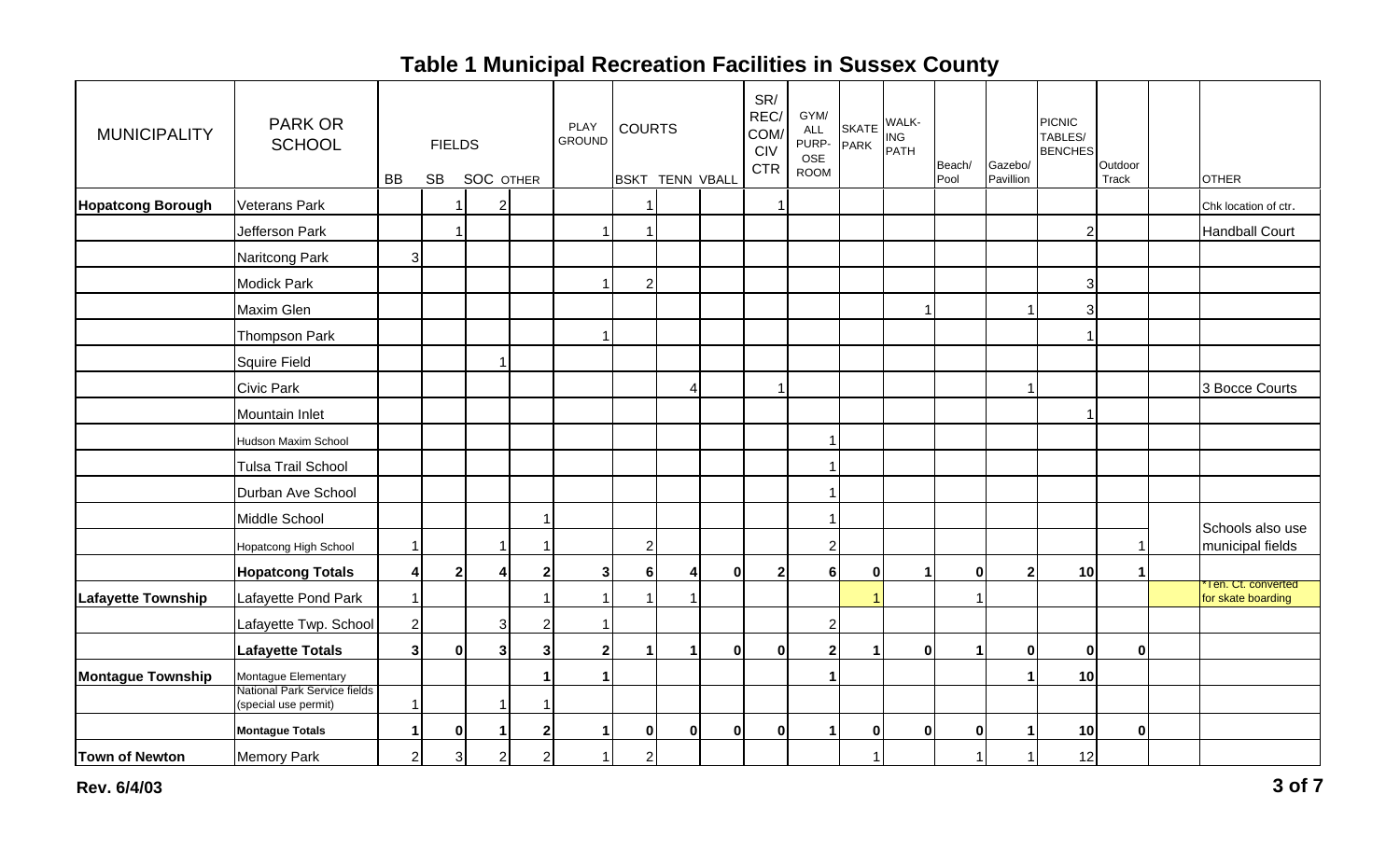| <b>MUNICIPALITY</b>       | <b>PARK OR</b><br><b>SCHOOL</b>                     | <b>BB</b>      | <b>FIELDS</b><br><b>SB</b> | <b>SOC OTHER</b> |                | PLAY<br><b>GROUND</b> | <b>COURTS</b>    | <b>BSKT TENN VBALL</b> |              | SR/<br>REC/<br>COM/<br><b>CIV</b><br><b>CTR</b> | GYM/<br><b>ALL</b><br>PURP-<br>OSE<br><b>ROOM</b> | <b>SKATE</b><br><b>PARK</b> | WALK-<br>ING<br>PATH | Beach/<br>Pool | Gazebo/<br>Pavillion | <b>PICNIC</b><br>TABLES/<br><b>BENCHES</b> | Outdoor<br>Track | <b>OTHER</b>                             |
|---------------------------|-----------------------------------------------------|----------------|----------------------------|------------------|----------------|-----------------------|------------------|------------------------|--------------|-------------------------------------------------|---------------------------------------------------|-----------------------------|----------------------|----------------|----------------------|--------------------------------------------|------------------|------------------------------------------|
| <b>Hopatcong Borough</b>  | Veterans Park                                       |                |                            | 2                |                |                       |                  |                        |              |                                                 |                                                   |                             |                      |                |                      |                                            |                  | Chk location of ctr.                     |
|                           | Jefferson Park                                      |                | $\overline{1}$             |                  |                |                       | 1                |                        |              |                                                 |                                                   |                             |                      |                |                      |                                            |                  | <b>Handball Court</b>                    |
|                           |                                                     |                |                            |                  |                |                       |                  |                        |              |                                                 |                                                   |                             |                      |                |                      |                                            |                  |                                          |
|                           | Naritcong Park                                      | $\overline{3}$ |                            |                  |                |                       |                  |                        |              |                                                 |                                                   |                             |                      |                |                      |                                            |                  |                                          |
|                           | <b>Modick Park</b>                                  |                |                            |                  |                |                       | $\boldsymbol{2}$ |                        |              |                                                 |                                                   |                             |                      |                |                      |                                            |                  |                                          |
|                           | Maxim Glen                                          |                |                            |                  |                |                       |                  |                        |              |                                                 |                                                   |                             |                      |                |                      | 3                                          |                  |                                          |
|                           | <b>Thompson Park</b>                                |                |                            |                  |                |                       |                  |                        |              |                                                 |                                                   |                             |                      |                |                      |                                            |                  |                                          |
|                           | Squire Field                                        |                |                            | -1               |                |                       |                  |                        |              |                                                 |                                                   |                             |                      |                |                      |                                            |                  |                                          |
|                           | Civic Park                                          |                |                            |                  |                |                       |                  | 4                      |              |                                                 |                                                   |                             |                      |                |                      |                                            |                  | 3 Bocce Courts                           |
|                           | Mountain Inlet                                      |                |                            |                  |                |                       |                  |                        |              |                                                 |                                                   |                             |                      |                |                      |                                            |                  |                                          |
|                           | Hudson Maxim School                                 |                |                            |                  |                |                       |                  |                        |              |                                                 |                                                   |                             |                      |                |                      |                                            |                  |                                          |
|                           | <b>Tulsa Trail School</b>                           |                |                            |                  |                |                       |                  |                        |              |                                                 |                                                   |                             |                      |                |                      |                                            |                  |                                          |
|                           | Durban Ave School                                   |                |                            |                  |                |                       |                  |                        |              |                                                 |                                                   |                             |                      |                |                      |                                            |                  |                                          |
|                           | Middle School                                       |                |                            |                  |                |                       |                  |                        |              |                                                 |                                                   |                             |                      |                |                      |                                            |                  |                                          |
|                           | Hopatcong High School                               | $\overline{1}$ |                            | 1                |                |                       | $\overline{2}$   |                        |              |                                                 | $\overline{2}$                                    |                             |                      |                |                      |                                            |                  | Schools also use<br>municipal fields     |
|                           | <b>Hopatcong Totals</b>                             | $\vert$        | $\overline{2}$             | 4                | $\mathbf{2}$   | 3 <sup>1</sup>        | $6\phantom{a}$   | $\boldsymbol{4}$       | $\mathbf{0}$ | 2 <sup>1</sup>                                  | 6                                                 | $\mathbf 0$                 |                      | 0              | $\mathbf{2}$         | 10                                         |                  |                                          |
| <b>Lafayette Township</b> | Lafayette Pond Park                                 | $\mathbf{1}$   |                            |                  |                |                       |                  |                        |              |                                                 |                                                   |                             |                      |                |                      |                                            |                  | Ten. Ct. converted<br>for skate boarding |
|                           | Lafayette Twp. School                               | $\mathbf{2}$   |                            | 3                | $\overline{2}$ |                       |                  |                        |              |                                                 | $\overline{c}$                                    |                             |                      |                |                      |                                            |                  |                                          |
|                           | <b>Lafayette Totals</b>                             | 3 <sup>1</sup> | $\mathbf 0$                | 3 <sup>1</sup>   | $\mathbf{3}$   | 2 <sub>l</sub>        | 1                | $\blacktriangleleft$   | $\mathbf{0}$ | $\mathbf{0}$                                    | $\overline{2}$                                    |                             | $\mathbf 0$          | -1             | $\Omega$             | $\bf{0}$                                   | $\mathbf{0}$     |                                          |
|                           |                                                     |                |                            |                  |                | $\blacktriangleleft$  |                  |                        |              |                                                 |                                                   |                             |                      |                |                      |                                            |                  |                                          |
| <b>Montague Township</b>  | Montague Elementary<br>National Park Service fields |                |                            |                  |                |                       |                  |                        |              |                                                 |                                                   |                             |                      |                |                      | 10                                         |                  |                                          |
|                           | (special use permit)                                | $\mathbf 1$    |                            | -1               |                |                       |                  |                        |              |                                                 |                                                   |                             |                      |                |                      |                                            |                  |                                          |
|                           | <b>Montague Totals</b>                              | $\mathbf{1}$   | $\mathbf 0$                | -1               | $\mathbf{2}$   | 1                     | $\mathbf{0}$     | $\mathbf{0}$           | 0            | 0                                               | 1                                                 | $\mathbf 0$                 | $\mathbf 0$          | 0              |                      | 10                                         | 0                |                                          |
| <b>Town of Newton</b>     | <b>Memory Park</b>                                  | $\mathbf{2}$   | $\mathbf{3}$               | $\overline{c}$   | $\overline{2}$ |                       | $\overline{2}$   |                        |              |                                                 |                                                   |                             |                      | -1             |                      | 12                                         |                  |                                          |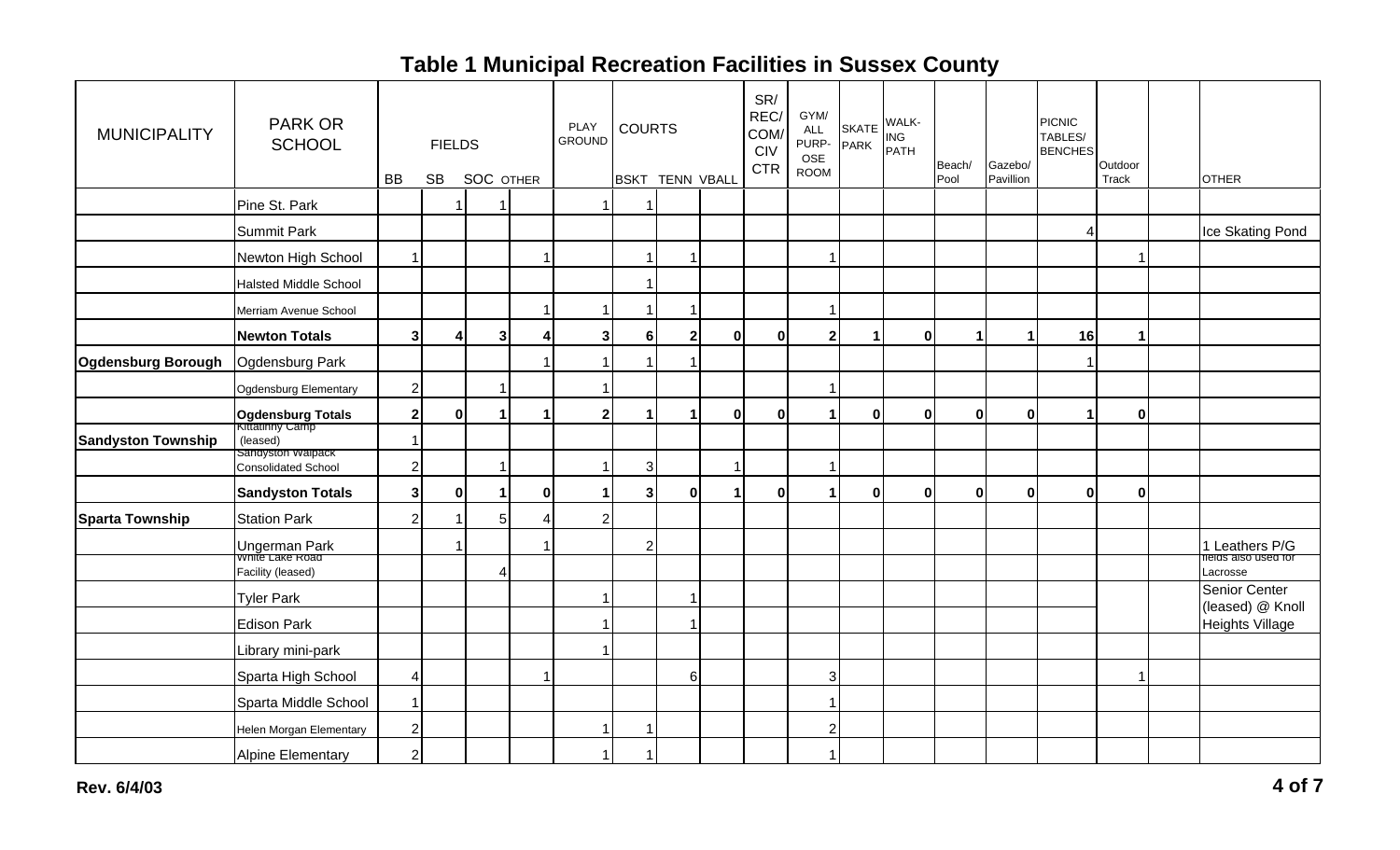| <b>MUNICIPALITY</b>       | PARK OR<br><b>SCHOOL</b>                 |                | <b>FIELDS</b>        |                  |   | <b>PLAY</b><br><b>GROUND</b> | <b>COURTS</b>           |                      |             | SR/<br>REC/<br>COM/<br>CIV<br><b>CTR</b> | GYM/<br><b>ALL</b><br>PURP-<br>OSE<br><b>ROOM</b> | <b>SKATE</b><br><b>PARK</b> | WALK-<br>ING<br>PATH | Beach/   | Gazebo/   | <b>PICNIC</b><br>TABLES/<br><b>BENCHES</b> | Outdoor |                                            |
|---------------------------|------------------------------------------|----------------|----------------------|------------------|---|------------------------------|-------------------------|----------------------|-------------|------------------------------------------|---------------------------------------------------|-----------------------------|----------------------|----------|-----------|--------------------------------------------|---------|--------------------------------------------|
|                           |                                          | <b>BB</b>      | <b>SB</b>            | <b>SOC OTHER</b> |   |                              | <b>BSKT</b>             | <b>TENN VBALL</b>    |             |                                          |                                                   |                             |                      | Pool     | Pavillion |                                            | Track   | <b>OTHER</b>                               |
|                           | Pine St. Park                            |                |                      |                  |   |                              | 1                       |                      |             |                                          |                                                   |                             |                      |          |           |                                            |         |                                            |
|                           | <b>Summit Park</b>                       |                |                      |                  |   |                              |                         |                      |             |                                          |                                                   |                             |                      |          |           |                                            |         | Ice Skating Pond                           |
|                           | Newton High School                       | 1              |                      |                  |   |                              | $\mathbf{1}$            | -1                   |             |                                          |                                                   |                             |                      |          |           |                                            |         |                                            |
|                           | Halsted Middle School                    |                |                      |                  |   |                              | $\overline{\mathbf{1}}$ |                      |             |                                          |                                                   |                             |                      |          |           |                                            |         |                                            |
|                           | Merriam Avenue School                    |                |                      |                  |   |                              | $\mathbf{1}$            | -1                   |             |                                          |                                                   |                             |                      |          |           |                                            |         |                                            |
|                           | <b>Newton Totals</b>                     | 3              | 4                    | 3                |   |                              | 6                       | $\overline{2}$       | $\mathbf 0$ | $\bf{0}$                                 | 2 <sup>1</sup>                                    | 1                           | 0                    |          |           | 16                                         |         |                                            |
| <b>Ogdensburg Borough</b> | Ogdensburg Park                          |                |                      |                  |   |                              | $\overline{1}$          | -1                   |             |                                          |                                                   |                             |                      |          |           |                                            |         |                                            |
|                           | Ogdensburg Elementary                    | $\overline{2}$ |                      |                  |   |                              |                         |                      |             |                                          |                                                   |                             |                      |          |           |                                            |         |                                            |
|                           | <b>Ogdensburg Totals</b>                 | $\mathbf{2}$   | $\bf{0}$             |                  |   | 2                            | 1                       | $\blacktriangleleft$ | $\bf{0}$    | $\mathbf{0}$                             |                                                   | $\bf{0}$                    | 0l                   | $\bf{0}$ | 0         |                                            | 0       |                                            |
| <b>Sandyston Township</b> | (leased)                                 |                |                      |                  |   |                              |                         |                      |             |                                          |                                                   |                             |                      |          |           |                                            |         |                                            |
|                           | Sandyston Walpack<br>Consolidated School | $\overline{2}$ |                      |                  |   |                              | 3 <sup>1</sup>          |                      | -1          |                                          |                                                   |                             |                      |          |           |                                            |         |                                            |
|                           | <b>Sandyston Totals</b>                  | $\mathbf{3}$   | $\pmb{0}$            |                  | 0 |                              | 3 <sup>1</sup>          | $\pmb{0}$            |             | $\bf{0}$                                 |                                                   | $\bf{0}$                    | 0                    | 0        | 0         | $\bf{0}$                                   | 0       |                                            |
| <b>Sparta Township</b>    | <b>Station Park</b>                      | $\overline{2}$ |                      | 5                |   |                              |                         |                      |             |                                          |                                                   |                             |                      |          |           |                                            |         |                                            |
|                           | Ungerman Park                            |                | $\blacktriangleleft$ |                  |   |                              | $\mathbf{2}$            |                      |             |                                          |                                                   |                             |                      |          |           |                                            |         | 1 Leathers P/G                             |
|                           | Facility (leased)                        |                |                      | Δ                |   |                              |                         |                      |             |                                          |                                                   |                             |                      |          |           |                                            |         | fields also used for<br>Lacrosse           |
|                           | <b>Tyler Park</b>                        |                |                      |                  |   |                              |                         |                      |             |                                          |                                                   |                             |                      |          |           |                                            |         | Senior Center                              |
|                           | <b>Edison Park</b>                       |                |                      |                  |   |                              |                         |                      |             |                                          |                                                   |                             |                      |          |           |                                            |         | (leased) @ Knoll<br><b>Heights Village</b> |
|                           | Library mini-park                        |                |                      |                  |   |                              |                         |                      |             |                                          |                                                   |                             |                      |          |           |                                            |         |                                            |
|                           | Sparta High School                       | 4              |                      |                  |   |                              |                         | $\,6$                |             |                                          | 3                                                 |                             |                      |          |           |                                            |         |                                            |
|                           | Sparta Middle School                     | -1             |                      |                  |   |                              |                         |                      |             |                                          |                                                   |                             |                      |          |           |                                            |         |                                            |
|                           | Helen Morgan Elementary                  | $\overline{2}$ |                      |                  |   |                              | $\overline{1}$          |                      |             |                                          | $\mathbf{2}$                                      |                             |                      |          |           |                                            |         |                                            |
|                           | <b>Alpine Elementary</b>                 | $\overline{2}$ |                      |                  |   |                              | $\mathbf{1}$            |                      |             |                                          | 1                                                 |                             |                      |          |           |                                            |         |                                            |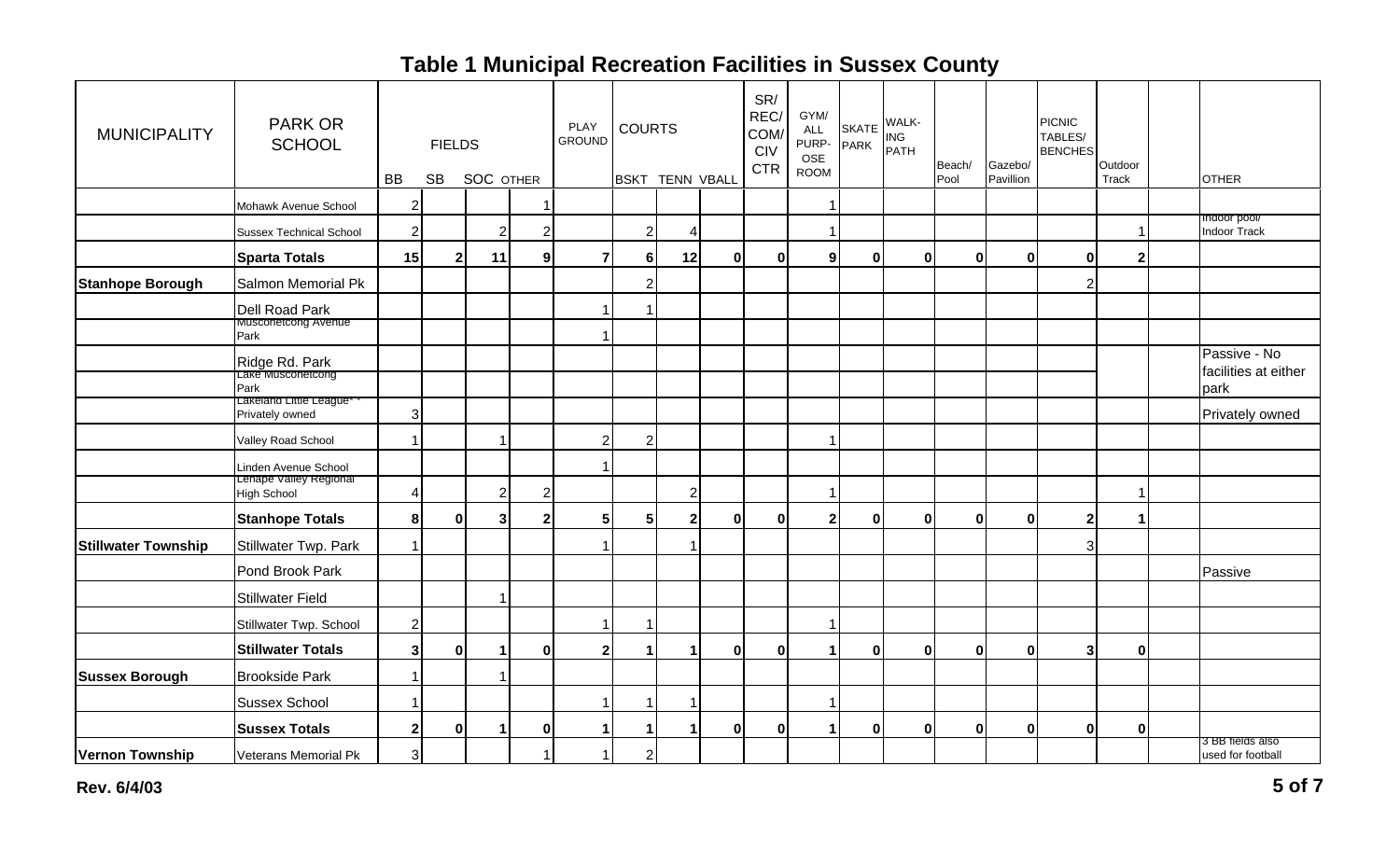| <b>MUNICIPALITY</b>        | <b>PARK OR</b><br><b>SCHOOL</b>                        |                | <b>FIELDS</b>  |                  |                | PLAY<br><b>GROUND</b> | <b>COURTS</b>           |                        |          | SR/<br>REC/<br>COM/<br>CIV<br><b>CTR</b> | GYM/<br>ALL<br>PURP-<br>OSE<br><b>ROOM</b> | <b>SKATE</b><br><b>PARK</b> | WALK-<br><b>ING</b><br>PATH | Beach/       | Gazebo/      | <b>PICNIC</b><br>TABLES/<br><b>BENCHES</b> | Outdoor      |                                              |
|----------------------------|--------------------------------------------------------|----------------|----------------|------------------|----------------|-----------------------|-------------------------|------------------------|----------|------------------------------------------|--------------------------------------------|-----------------------------|-----------------------------|--------------|--------------|--------------------------------------------|--------------|----------------------------------------------|
|                            |                                                        | BB             | <b>SB</b>      | <b>SOC OTHER</b> |                |                       |                         | <b>BSKT TENN VBALL</b> |          |                                          |                                            |                             |                             | Pool         | Pavillion    |                                            | Track        | <b>OTHER</b>                                 |
|                            | Mohawk Avenue School                                   | $\mathbf{2}$   |                |                  | $\overline{1}$ |                       |                         |                        |          |                                          | 1                                          |                             |                             |              |              |                                            |              | Indoor pool/                                 |
|                            | <b>Sussex Technical School</b>                         | $\mathbf{2}$   |                | $\overline{2}$   | 2              |                       | $\sqrt{2}$              | $\overline{4}$         |          |                                          | 1                                          |                             |                             |              |              |                                            | 1            | <b>Indoor Track</b>                          |
|                            | <b>Sparta Totals</b>                                   | 15             | $\overline{2}$ | 11               | 9              |                       | 6                       | 12                     | ŋ        | $\mathbf{0}$                             | $\mathbf{g}$                               | $\bf{0}$                    | $\bf{0}$                    | $\bf{0}$     | $\mathbf{0}$ | 0l                                         | $\mathbf{2}$ |                                              |
| <b>Stanhope Borough</b>    | Salmon Memorial Pk                                     |                |                |                  |                |                       | $\sqrt{2}$              |                        |          |                                          |                                            |                             |                             |              |              | 2                                          |              |                                              |
|                            | Dell Road Park                                         |                |                |                  |                |                       | 1                       |                        |          |                                          |                                            |                             |                             |              |              |                                            |              |                                              |
|                            | <b>Musconetcong Avenue</b><br>Park                     |                |                |                  |                |                       |                         |                        |          |                                          |                                            |                             |                             |              |              |                                            |              |                                              |
|                            | Ridge Rd. Park<br>Lake Musconetcong<br>Park            |                |                |                  |                |                       |                         |                        |          |                                          |                                            |                             |                             |              |              |                                            |              | Passive - No<br>facilities at either<br>park |
|                            | Lakeland Little League <sup>®</sup><br>Privately owned | $\overline{3}$ |                |                  |                |                       |                         |                        |          |                                          |                                            |                             |                             |              |              |                                            |              | Privately owned                              |
|                            | Valley Road School                                     | $\overline{1}$ |                | 1                |                | 2                     | $\overline{2}$          |                        |          |                                          | 1                                          |                             |                             |              |              |                                            |              |                                              |
|                            | Linden Avenue School                                   |                |                |                  |                |                       |                         |                        |          |                                          |                                            |                             |                             |              |              |                                            |              |                                              |
|                            | Lenape Valley Regional<br>High School                  | $\overline{4}$ |                | $\overline{2}$   | $\overline{2}$ |                       |                         | $\sqrt{2}$             |          |                                          | 1                                          |                             |                             |              |              |                                            | 1            |                                              |
|                            | <b>Stanhope Totals</b>                                 | 8              | $\mathbf 0$    | 3                | 2 <sup>1</sup> | 51                    | 5 <sub>1</sub>          | $\mathbf{2}$           | 0        | $\mathbf{0}$                             | 2 <sup>1</sup>                             | $\pmb{0}$                   | $\bf{0}$                    | 0            | $\mathbf{0}$ | 2                                          | 1            |                                              |
| <b>Stillwater Township</b> | Stillwater Twp. Park                                   | $\mathbf{1}$   |                |                  |                |                       |                         |                        |          |                                          |                                            |                             |                             |              |              | 3                                          |              |                                              |
|                            | Pond Brook Park                                        |                |                |                  |                |                       |                         |                        |          |                                          |                                            |                             |                             |              |              |                                            |              | Passive                                      |
|                            | <b>Stillwater Field</b>                                |                |                |                  |                |                       |                         |                        |          |                                          |                                            |                             |                             |              |              |                                            |              |                                              |
|                            | Stillwater Twp. School                                 | $\mathbf{2}$   |                |                  |                |                       | 1                       |                        |          |                                          | 1                                          |                             |                             |              |              |                                            |              |                                              |
|                            | <b>Stillwater Totals</b>                               | 3              | $\mathbf 0$    | -1               | $\mathbf{0}$   | ا 2                   | $\blacktriangleleft$    |                        | 0        | 0                                        | $\mathbf 1$                                | 0                           | $\bf{0}$                    | $\mathbf{0}$ | $\mathbf{0}$ | 3                                          | $\mathbf{0}$ |                                              |
| <b>Sussex Borough</b>      | <b>Brookside Park</b>                                  | $\mathbf{1}$   |                |                  |                |                       |                         |                        |          |                                          |                                            |                             |                             |              |              |                                            |              |                                              |
|                            | <b>Sussex School</b>                                   | 1              |                |                  |                |                       | 1                       |                        |          |                                          | 1                                          |                             |                             |              |              |                                            |              |                                              |
|                            | <b>Sussex Totals</b>                                   | $\mathbf{2}$   | $\mathbf 0$    | -1               | $\mathbf{0}$   |                       | $\mathbf 1$             |                        | $\Omega$ | 0                                        | $\mathbf{1}$                               | $\mathbf 0$                 | $\Omega$                    | $\Omega$     | $\mathbf{0}$ | $\mathbf{0}$                               | $\mathbf{0}$ |                                              |
| Vernon Township            | Veterans Memorial Pk                                   | 3 <sup>1</sup> |                |                  | $\overline{1}$ |                       | $\overline{\mathbf{c}}$ |                        |          |                                          |                                            |                             |                             |              |              |                                            |              | 3 BB fields also<br>used for football        |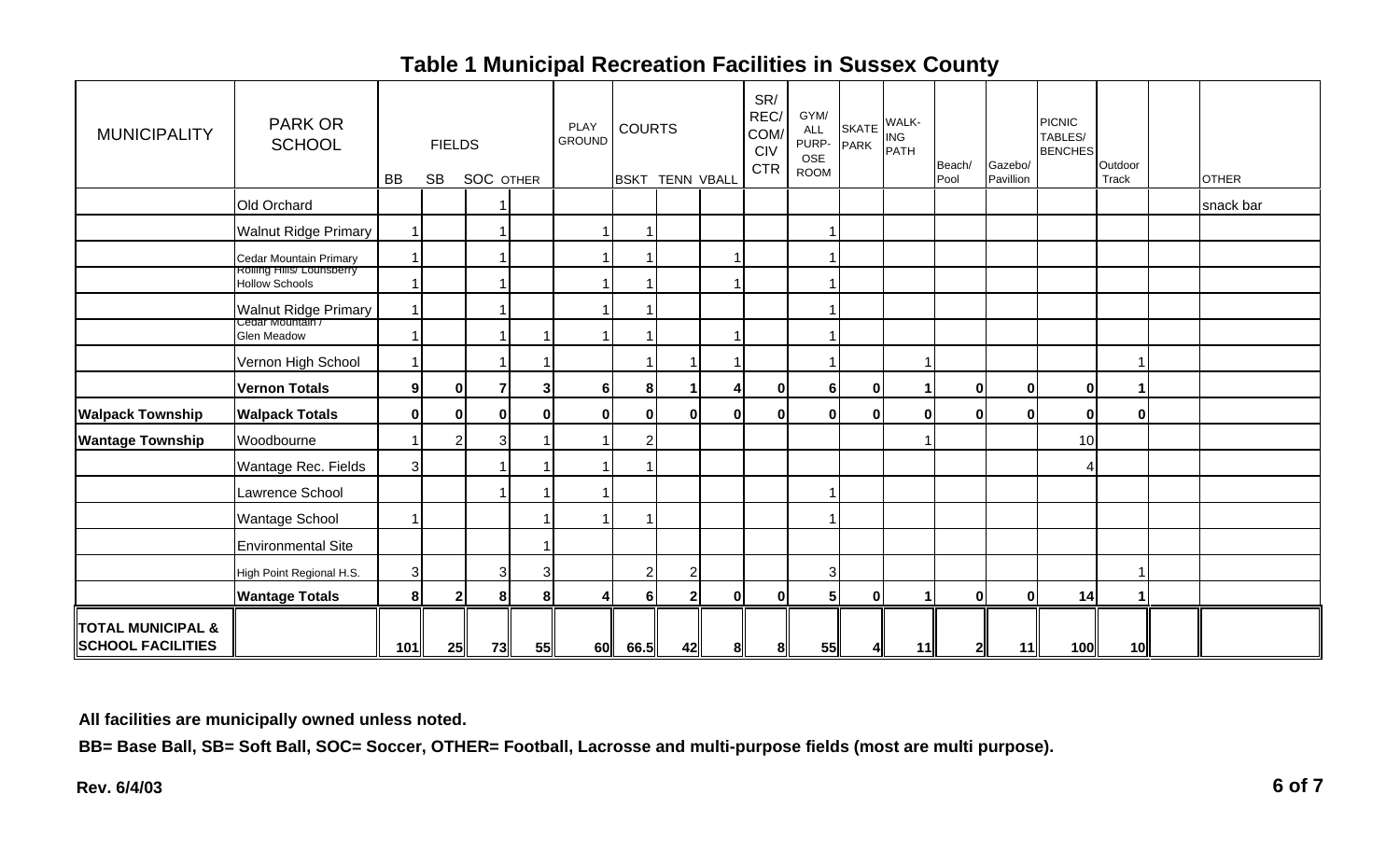| <b>MUNICIPALITY</b>                                      | <b>PARK OR</b><br><b>SCHOOL</b>                     | <b>BB</b>      | <b>FIELDS</b><br><b>SB</b> | <b>SOC OTHER</b> |                | PLAY<br><b>GROUND</b> | <b>COURTS</b><br><b>BSKT</b> | <b>TENN VBALL</b> |              | SR/<br>REC/<br>COM/<br><b>CIV</b><br><b>CTR</b> | GYM/<br><b>ALL</b><br>PURP-<br>OSE<br><b>ROOM</b> | SKATE WALK-<br>PARK PATH |          | Beach/<br>Pool | Gazebo/<br>Pavillion | <b>PICNIC</b><br>TABLES/<br><b>BENCHES</b> | Outdoor<br>Track | <b>OTHER</b> |
|----------------------------------------------------------|-----------------------------------------------------|----------------|----------------------------|------------------|----------------|-----------------------|------------------------------|-------------------|--------------|-------------------------------------------------|---------------------------------------------------|--------------------------|----------|----------------|----------------------|--------------------------------------------|------------------|--------------|
|                                                          | Old Orchard                                         |                |                            |                  |                |                       |                              |                   |              |                                                 |                                                   |                          |          |                |                      |                                            |                  | snack bar    |
|                                                          | <b>Walnut Ridge Primary</b>                         | $\mathbf{1}$   |                            |                  |                |                       | $\overline{1}$               |                   |              |                                                 |                                                   |                          |          |                |                      |                                            |                  |              |
|                                                          | Cedar Mountain Primary<br>Rolling Hills/ Lounsberry | $\mathbf{1}$   |                            |                  |                |                       | 1                            |                   |              |                                                 |                                                   |                          |          |                |                      |                                            |                  |              |
|                                                          | Hollow Schools                                      | $\mathbf{1}$   |                            |                  |                |                       | 1                            |                   |              |                                                 |                                                   |                          |          |                |                      |                                            |                  |              |
|                                                          | Walnut Ridge Primary                                | $\mathbf{1}$   |                            |                  |                |                       | 1                            |                   |              |                                                 |                                                   |                          |          |                |                      |                                            |                  |              |
|                                                          | Glen Meadow                                         | $\mathbf{1}$   |                            |                  |                |                       | 1                            |                   |              |                                                 |                                                   |                          |          |                |                      |                                            |                  |              |
|                                                          | Vernon High School                                  | $\mathbf{1}$   |                            |                  |                |                       | 1                            |                   |              |                                                 |                                                   |                          |          |                |                      |                                            |                  |              |
|                                                          | Vernon Totals                                       | 9 <sup>1</sup> | 0                          |                  | 3 <sup>1</sup> | 6 <sup>1</sup>        | 8 <sup>1</sup>               |                   |              | 0                                               | 6 <sup>1</sup>                                    | $\mathbf 0$              |          | 0              | $\bf{0}$             | 0                                          |                  |              |
| <b>Walpack Township</b>                                  | <b>Walpack Totals</b>                               | $\overline{0}$ | 0                          | 01               | 0              | 0l                    | $\bf{0}$                     | $\mathbf{0}$      | 01           | 0l                                              | 0l                                                | $\mathbf 0$              | $\bf{0}$ | $\mathbf{0}$   |                      | 0                                          | 0                |              |
| <b>Wantage Township</b>                                  | Woodbourne                                          | $\mathbf{1}$   | $\overline{2}$             | 3                |                |                       | $\sqrt{2}$                   |                   |              |                                                 |                                                   |                          |          |                |                      | 10                                         |                  |              |
|                                                          | Wantage Rec. Fields                                 | 3              |                            |                  |                |                       | 1                            |                   |              |                                                 |                                                   |                          |          |                |                      |                                            |                  |              |
|                                                          | Lawrence School                                     |                |                            |                  |                |                       |                              |                   |              |                                                 |                                                   |                          |          |                |                      |                                            |                  |              |
|                                                          | Wantage School                                      | $\mathbf{1}$   |                            |                  | 4              |                       | $\overline{\mathbf{1}}$      |                   |              |                                                 |                                                   |                          |          |                |                      |                                            |                  |              |
|                                                          | <b>Environmental Site</b>                           |                |                            |                  |                |                       |                              |                   |              |                                                 |                                                   |                          |          |                |                      |                                            |                  |              |
|                                                          | High Point Regional H.S.                            | 3              |                            | 3                | 3              |                       | $\overline{2}$               | $\overline{2}$    |              |                                                 | $\overline{3}$                                    |                          |          |                |                      |                                            |                  |              |
|                                                          | <b>Wantage Totals</b>                               | 8 <sup>1</sup> | $\mathbf{2}$               | 8 <sup>1</sup>   | 8 <sup>1</sup> | 4                     | 6                            | $\overline{2}$    | $\mathbf{0}$ | 0                                               | 5 <sup>1</sup>                                    | $\mathbf 0$              |          | 0              | $\bf{0}$             | 14                                         |                  |              |
| <b>TOTAL MUNICIPAL &amp;</b><br><b>SCHOOL FACILITIES</b> |                                                     | 101            | 25                         | 73               | 55             | 60                    | 66.5                         | 42                |              | 8                                               | 55                                                |                          | 11       |                | 11                   | 100                                        | 10 <sup>1</sup>  |              |

**All facilities are municipally owned unless noted.**

**BB= Base Ball, SB= Soft Ball, SOC= Soccer, OTHER= Football, Lacrosse and multi-purpose fields (most are multi purpose).**